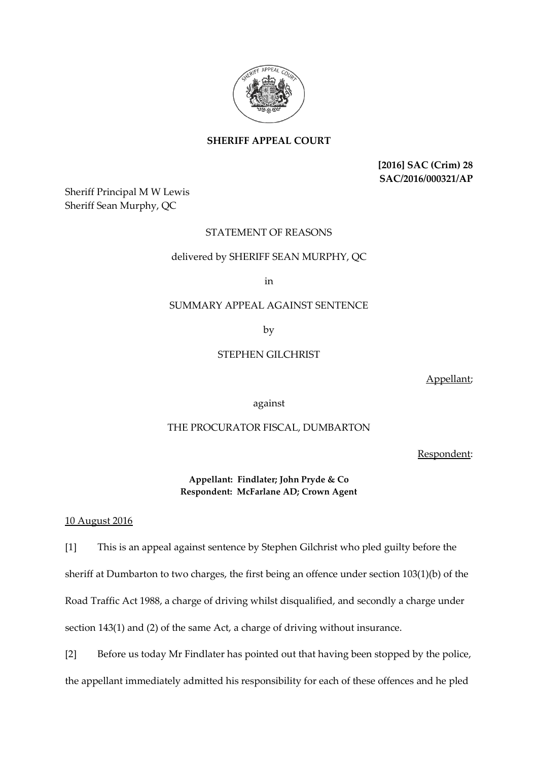

**SHERIFF APPEAL COURT**

**[2016] SAC (Crim) 28 SAC/2016/000321/AP**

Sheriff Principal M W Lewis Sheriff Sean Murphy, QC

# STATEMENT OF REASONS

## delivered by SHERIFF SEAN MURPHY, QC

in

## SUMMARY APPEAL AGAINST SENTENCE

by

# STEPHEN GILCHRIST

Appellant;

against

## THE PROCURATOR FISCAL, DUMBARTON

Respondent:

**Appellant: Findlater; John Pryde & Co Respondent: McFarlane AD; Crown Agent**

10 August 2016

[1] This is an appeal against sentence by Stephen Gilchrist who pled guilty before the sheriff at Dumbarton to two charges, the first being an offence under section 103(1)(b) of the Road Traffic Act 1988, a charge of driving whilst disqualified, and secondly a charge under section 143(1) and (2) of the same Act, a charge of driving without insurance.

[2] Before us today Mr Findlater has pointed out that having been stopped by the police, the appellant immediately admitted his responsibility for each of these offences and he pled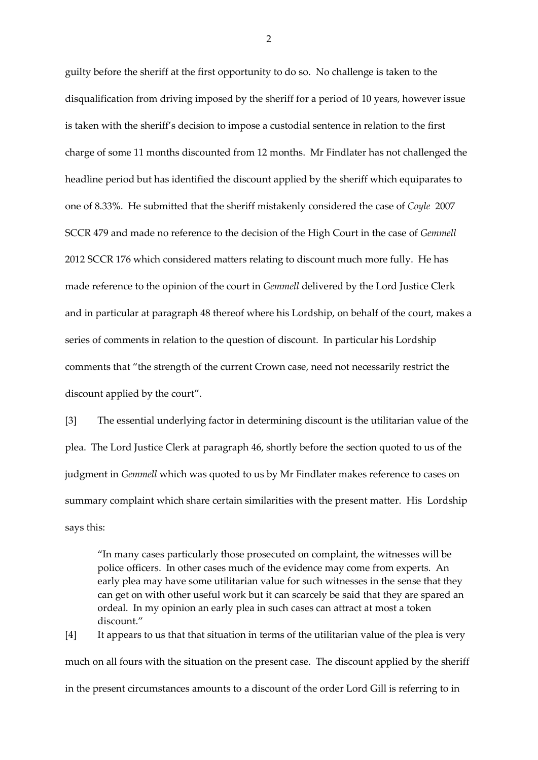guilty before the sheriff at the first opportunity to do so. No challenge is taken to the disqualification from driving imposed by the sheriff for a period of 10 years, however issue is taken with the sheriff's decision to impose a custodial sentence in relation to the first charge of some 11 months discounted from 12 months. Mr Findlater has not challenged the headline period but has identified the discount applied by the sheriff which equiparates to one of 8.33%. He submitted that the sheriff mistakenly considered the case of *Coyle* 2007 SCCR 479 and made no reference to the decision of the High Court in the case of *Gemmell* 2012 SCCR 176 which considered matters relating to discount much more fully. He has made reference to the opinion of the court in *Gemmell* delivered by the Lord Justice Clerk and in particular at paragraph 48 thereof where his Lordship, on behalf of the court, makes a series of comments in relation to the question of discount. In particular his Lordship comments that "the strength of the current Crown case, need not necessarily restrict the discount applied by the court".

[3] The essential underlying factor in determining discount is the utilitarian value of the plea. The Lord Justice Clerk at paragraph 46, shortly before the section quoted to us of the judgment in *Gemmell* which was quoted to us by Mr Findlater makes reference to cases on summary complaint which share certain similarities with the present matter. His Lordship says this:

"In many cases particularly those prosecuted on complaint, the witnesses will be police officers. In other cases much of the evidence may come from experts. An early plea may have some utilitarian value for such witnesses in the sense that they can get on with other useful work but it can scarcely be said that they are spared an ordeal. In my opinion an early plea in such cases can attract at most a token discount."

[4] It appears to us that that situation in terms of the utilitarian value of the plea is very much on all fours with the situation on the present case. The discount applied by the sheriff in the present circumstances amounts to a discount of the order Lord Gill is referring to in

2